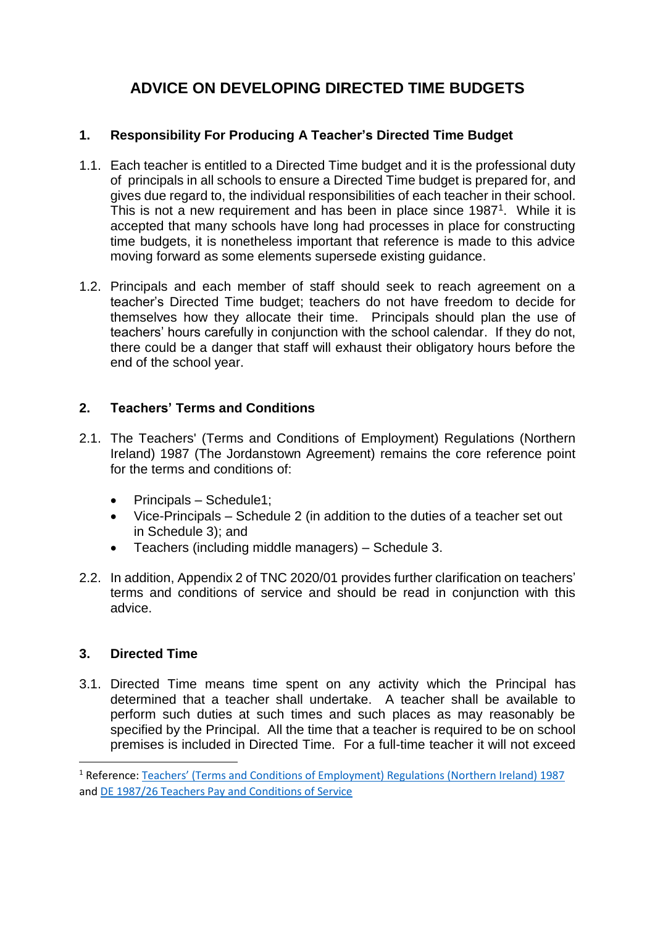# **ADVICE ON DEVELOPING DIRECTED TIME BUDGETS**

## **1. Responsibility For Producing A Teacher's Directed Time Budget**

- 1.1. Each teacher is entitled to a Directed Time budget and it is the professional duty of principals in all schools to ensure a Directed Time budget is prepared for, and gives due regard to, the individual responsibilities of each teacher in their school. This is not a new requirement and has been in place since 1987<sup>1</sup>. While it is accepted that many schools have long had processes in place for constructing time budgets, it is nonetheless important that reference is made to this advice moving forward as some elements supersede existing guidance.
- 1.2. Principals and each member of staff should seek to reach agreement on a teacher's Directed Time budget; teachers do not have freedom to decide for themselves how they allocate their time. Principals should plan the use of teachers' hours carefully in conjunction with the school calendar. If they do not, there could be a danger that staff will exhaust their obligatory hours before the end of the school year.

## **2. Teachers' Terms and Conditions**

- 2.1. The Teachers' (Terms and Conditions of Employment) Regulations (Northern Ireland) 1987 (The Jordanstown Agreement) remains the core reference point for the terms and conditions of:
	- $\bullet$  Principals Schedule1;
	- Vice-Principals Schedule 2 (in addition to the duties of a teacher set out in Schedule 3); and
	- Teachers (including middle managers) Schedule 3.
- 2.2. In addition, Appendix 2 of TNC 2020/01 provides further clarification on teachers' terms and conditions of service and should be read in conjunction with this advice.

## **3. Directed Time**

**.** 

3.1. Directed Time means time spent on any activity which the Principal has determined that a teacher shall undertake. A teacher shall be available to perform such duties at such times and such places as may reasonably be specified by the Principal. All the time that a teacher is required to be on school premises is included in Directed Time. For a full-time teacher it will not exceed

<sup>1</sup> Reference: [Teachers' \(Terms and Conditions of Employment\) Regulations \(Northern Ireland\) 1987](https://www.education-ni.gov.uk/sites/default/files/publications/de/terms-and-conditions-regs-87.pdf) and [DE 1987/26 Teachers Pay and Conditions of Service](https://www.education-ni.gov.uk/sites/default/files/publications/de/1987-26-teachers-pay.pdf)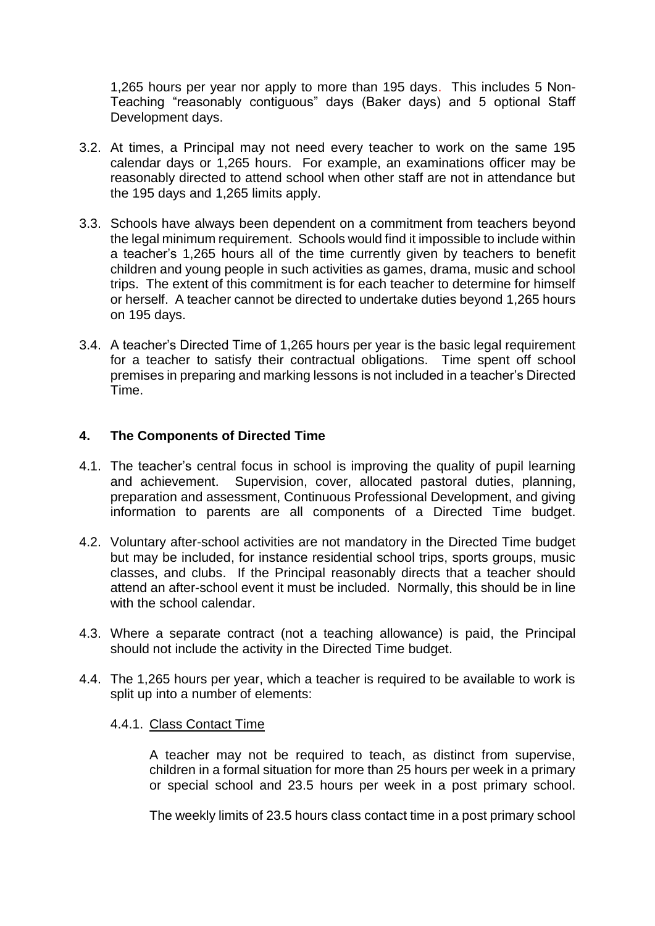1,265 hours per year nor apply to more than 195 days. This includes 5 Non-Teaching "reasonably contiguous" days (Baker days) and 5 optional Staff Development days.

- 3.2. At times, a Principal may not need every teacher to work on the same 195 calendar days or 1,265 hours. For example, an examinations officer may be reasonably directed to attend school when other staff are not in attendance but the 195 days and 1,265 limits apply.
- 3.3. Schools have always been dependent on a commitment from teachers beyond the legal minimum requirement. Schools would find it impossible to include within a teacher's 1,265 hours all of the time currently given by teachers to benefit children and young people in such activities as games, drama, music and school trips. The extent of this commitment is for each teacher to determine for himself or herself. A teacher cannot be directed to undertake duties beyond 1,265 hours on 195 days.
- 3.4. A teacher's Directed Time of 1,265 hours per year is the basic legal requirement for a teacher to satisfy their contractual obligations. Time spent off school premises in preparing and marking lessons is not included in a teacher's Directed Time.

## **4. The Components of Directed Time**

- 4.1. The teacher's central focus in school is improving the quality of pupil learning and achievement. Supervision, cover, allocated pastoral duties, planning, preparation and assessment, Continuous Professional Development, and giving information to parents are all components of a Directed Time budget.
- 4.2. Voluntary after-school activities are not mandatory in the Directed Time budget but may be included, for instance residential school trips, sports groups, music classes, and clubs. If the Principal reasonably directs that a teacher should attend an after-school event it must be included. Normally, this should be in line with the school calendar.
- 4.3. Where a separate contract (not a teaching allowance) is paid, the Principal should not include the activity in the Directed Time budget.
- 4.4. The 1,265 hours per year, which a teacher is required to be available to work is split up into a number of elements:

### 4.4.1. Class Contact Time

A teacher may not be required to teach, as distinct from supervise, children in a formal situation for more than 25 hours per week in a primary or special school and 23.5 hours per week in a post primary school.

The weekly limits of 23.5 hours class contact time in a post primary school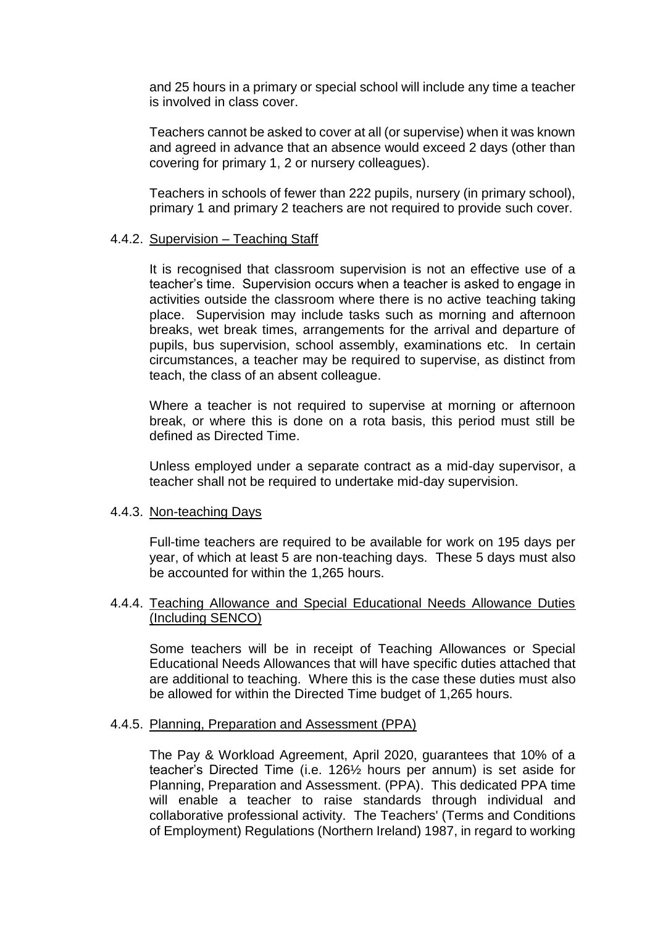and 25 hours in a primary or special school will include any time a teacher is involved in class cover.

Teachers cannot be asked to cover at all (or supervise) when it was known and agreed in advance that an absence would exceed 2 days (other than covering for primary 1, 2 or nursery colleagues).

Teachers in schools of fewer than 222 pupils, nursery (in primary school), primary 1 and primary 2 teachers are not required to provide such cover.

#### 4.4.2. Supervision – Teaching Staff

It is recognised that classroom supervision is not an effective use of a teacher's time. Supervision occurs when a teacher is asked to engage in activities outside the classroom where there is no active teaching taking place. Supervision may include tasks such as morning and afternoon breaks, wet break times, arrangements for the arrival and departure of pupils, bus supervision, school assembly, examinations etc. In certain circumstances, a teacher may be required to supervise, as distinct from teach, the class of an absent colleague.

Where a teacher is not required to supervise at morning or afternoon break, or where this is done on a rota basis, this period must still be defined as Directed Time.

Unless employed under a separate contract as a mid-day supervisor, a teacher shall not be required to undertake mid-day supervision.

#### 4.4.3. Non-teaching Days

Full-time teachers are required to be available for work on 195 days per year, of which at least 5 are non-teaching days. These 5 days must also be accounted for within the 1,265 hours.

#### 4.4.4. Teaching Allowance and Special Educational Needs Allowance Duties (Including SENCO)

Some teachers will be in receipt of Teaching Allowances or Special Educational Needs Allowances that will have specific duties attached that are additional to teaching. Where this is the case these duties must also be allowed for within the Directed Time budget of 1,265 hours.

#### 4.4.5. Planning, Preparation and Assessment (PPA)

The Pay & Workload Agreement, April 2020, guarantees that 10% of a teacher's Directed Time (i.e. 126½ hours per annum) is set aside for Planning, Preparation and Assessment. (PPA). This dedicated PPA time will enable a teacher to raise standards through individual and collaborative professional activity. The Teachers' (Terms and Conditions of Employment) Regulations (Northern Ireland) 1987, in regard to working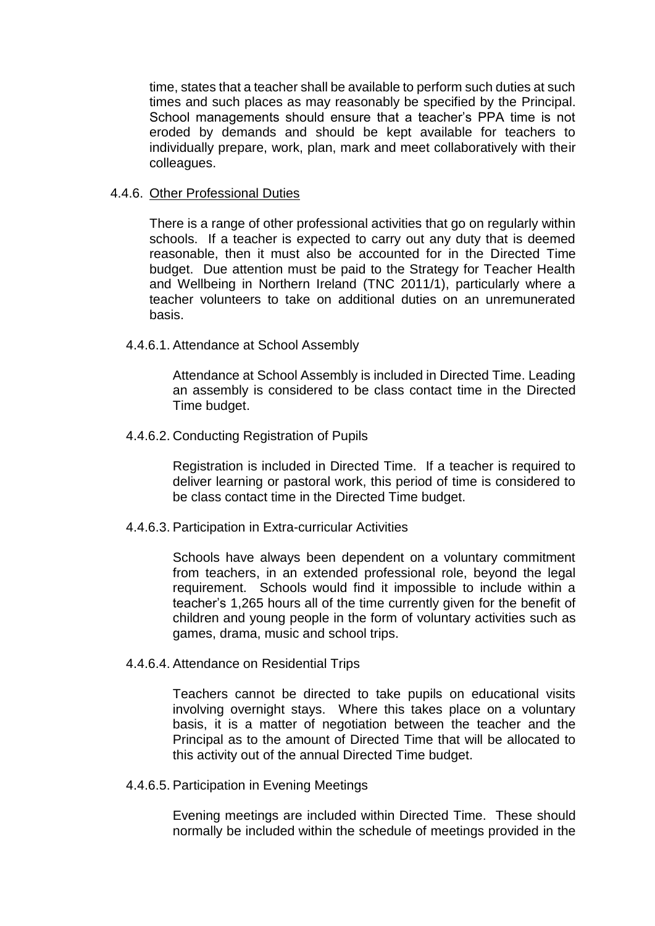time, states that a teacher shall be available to perform such duties at such times and such places as may reasonably be specified by the Principal. School managements should ensure that a teacher's PPA time is not eroded by demands and should be kept available for teachers to individually prepare, work, plan, mark and meet collaboratively with their colleagues.

#### 4.4.6. Other Professional Duties

There is a range of other professional activities that go on regularly within schools. If a teacher is expected to carry out any duty that is deemed reasonable, then it must also be accounted for in the Directed Time budget. Due attention must be paid to the Strategy for Teacher Health and Wellbeing in Northern Ireland (TNC 2011/1), particularly where a teacher volunteers to take on additional duties on an unremunerated basis.

#### 4.4.6.1. Attendance at School Assembly

Attendance at School Assembly is included in Directed Time. Leading an assembly is considered to be class contact time in the Directed Time budget.

#### 4.4.6.2. Conducting Registration of Pupils

Registration is included in Directed Time. If a teacher is required to deliver learning or pastoral work, this period of time is considered to be class contact time in the Directed Time budget.

#### 4.4.6.3. Participation in Extra-curricular Activities

Schools have always been dependent on a voluntary commitment from teachers, in an extended professional role, beyond the legal requirement. Schools would find it impossible to include within a teacher's 1,265 hours all of the time currently given for the benefit of children and young people in the form of voluntary activities such as games, drama, music and school trips.

#### 4.4.6.4. Attendance on Residential Trips

Teachers cannot be directed to take pupils on educational visits involving overnight stays. Where this takes place on a voluntary basis, it is a matter of negotiation between the teacher and the Principal as to the amount of Directed Time that will be allocated to this activity out of the annual Directed Time budget.

#### 4.4.6.5. Participation in Evening Meetings

Evening meetings are included within Directed Time. These should normally be included within the schedule of meetings provided in the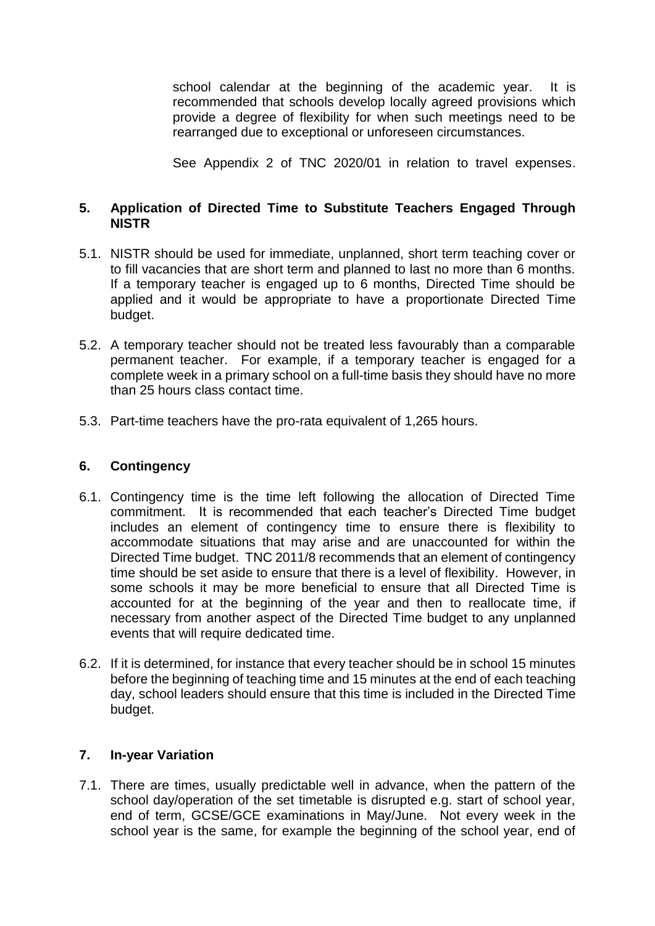school calendar at the beginning of the academic year. It is recommended that schools develop locally agreed provisions which provide a degree of flexibility for when such meetings need to be rearranged due to exceptional or unforeseen circumstances.

See Appendix 2 of TNC 2020/01 in relation to travel expenses.

## **5. Application of Directed Time to Substitute Teachers Engaged Through NISTR**

- 5.1. NISTR should be used for immediate, unplanned, short term teaching cover or to fill vacancies that are short term and planned to last no more than 6 months. If a temporary teacher is engaged up to 6 months, Directed Time should be applied and it would be appropriate to have a proportionate Directed Time budget.
- 5.2. A temporary teacher should not be treated less favourably than a comparable permanent teacher. For example, if a temporary teacher is engaged for a complete week in a primary school on a full-time basis they should have no more than 25 hours class contact time.
- 5.3. Part-time teachers have the pro-rata equivalent of 1,265 hours.

### **6. Contingency**

- 6.1. Contingency time is the time left following the allocation of Directed Time commitment. It is recommended that each teacher's Directed Time budget includes an element of contingency time to ensure there is flexibility to accommodate situations that may arise and are unaccounted for within the Directed Time budget. TNC 2011/8 recommends that an element of contingency time should be set aside to ensure that there is a level of flexibility. However, in some schools it may be more beneficial to ensure that all Directed Time is accounted for at the beginning of the year and then to reallocate time, if necessary from another aspect of the Directed Time budget to any unplanned events that will require dedicated time.
- 6.2. If it is determined, for instance that every teacher should be in school 15 minutes before the beginning of teaching time and 15 minutes at the end of each teaching day, school leaders should ensure that this time is included in the Directed Time budget.

### **7. In-year Variation**

7.1. There are times, usually predictable well in advance, when the pattern of the school day/operation of the set timetable is disrupted e.g. start of school year, end of term, GCSE/GCE examinations in May/June. Not every week in the school year is the same, for example the beginning of the school year, end of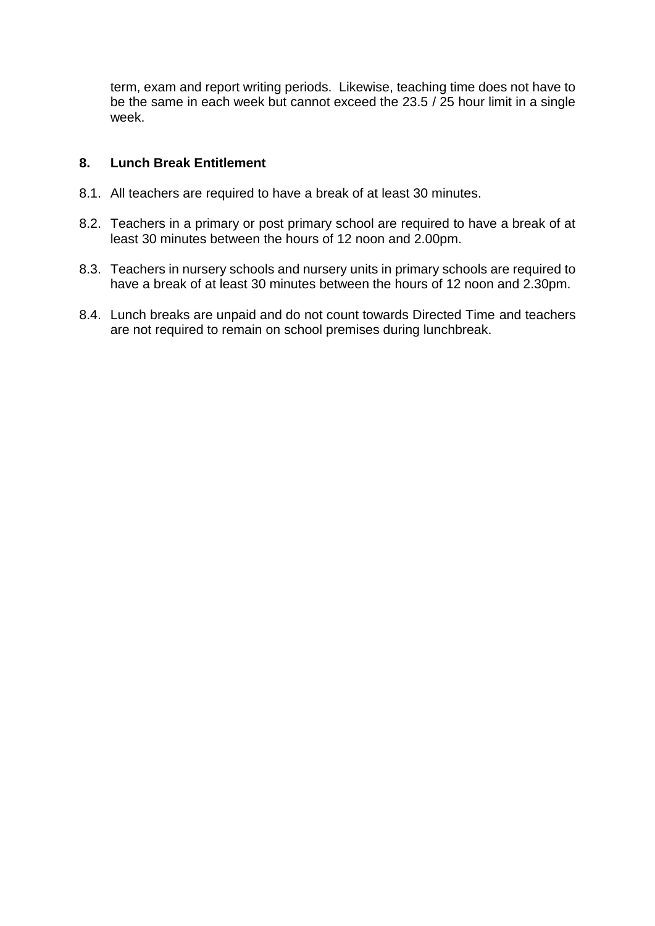term, exam and report writing periods. Likewise, teaching time does not have to be the same in each week but cannot exceed the 23.5 / 25 hour limit in a single week.

## **8. Lunch Break Entitlement**

- 8.1. All teachers are required to have a break of at least 30 minutes.
- 8.2. Teachers in a primary or post primary school are required to have a break of at least 30 minutes between the hours of 12 noon and 2.00pm.
- 8.3. Teachers in nursery schools and nursery units in primary schools are required to have a break of at least 30 minutes between the hours of 12 noon and 2.30pm.
- 8.4. Lunch breaks are unpaid and do not count towards Directed Time and teachers are not required to remain on school premises during lunchbreak.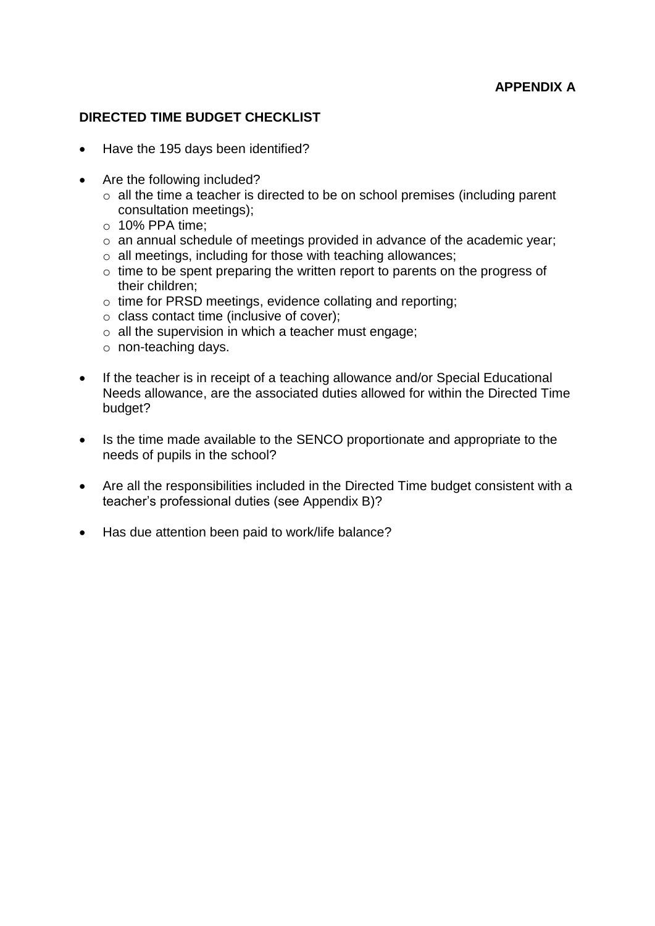## **APPENDIX A**

## **DIRECTED TIME BUDGET CHECKLIST**

- Have the 195 days been identified?
- Are the following included?
	- o all the time a teacher is directed to be on school premises (including parent consultation meetings);
	- $\circ$  10% PPA time:
	- o an annual schedule of meetings provided in advance of the academic year;
	- o all meetings, including for those with teaching allowances;
	- o time to be spent preparing the written report to parents on the progress of their children;
	- o time for PRSD meetings, evidence collating and reporting;
	- o class contact time (inclusive of cover);
	- o all the supervision in which a teacher must engage;
	- o non-teaching days.
- If the teacher is in receipt of a teaching allowance and/or Special Educational Needs allowance, are the associated duties allowed for within the Directed Time budget?
- Is the time made available to the SENCO proportionate and appropriate to the needs of pupils in the school?
- Are all the responsibilities included in the Directed Time budget consistent with a teacher's professional duties (see Appendix B)?
- Has due attention been paid to work/life balance?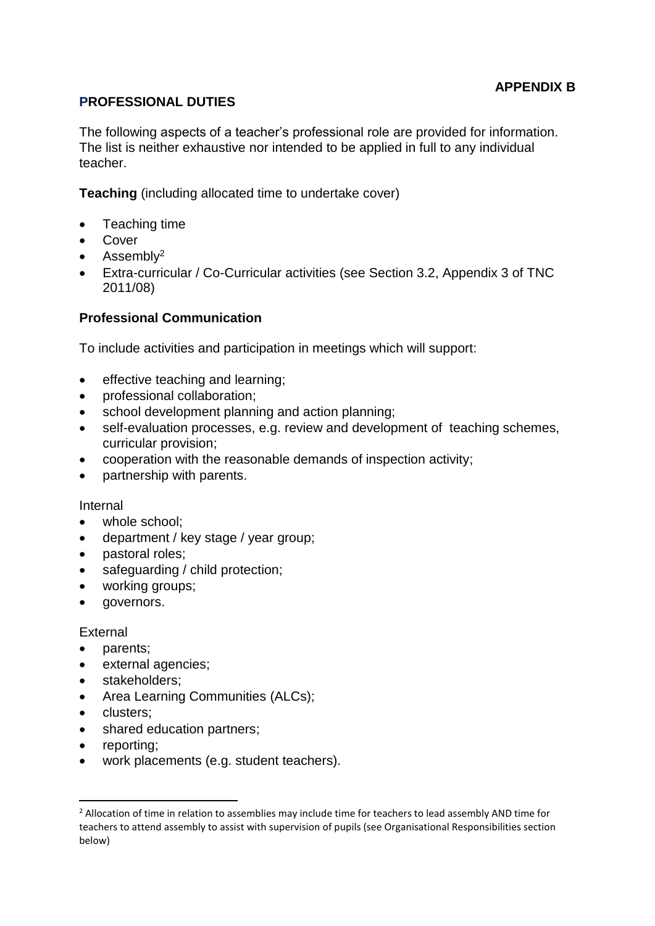## **PROFESSIONAL DUTIES**

The following aspects of a teacher's professional role are provided for information. The list is neither exhaustive nor intended to be applied in full to any individual teacher.

**Teaching** (including allocated time to undertake cover)

- Teaching time
- Cover
- $\bullet$  Assembly<sup>2</sup>
- Extra-curricular / Co-Curricular activities (see Section 3.2, Appendix 3 of TNC 2011/08)

## **Professional Communication**

To include activities and participation in meetings which will support:

- effective teaching and learning;
- professional collaboration;
- school development planning and action planning;
- self-evaluation processes, e.g. review and development of teaching schemes, curricular provision;
- cooperation with the reasonable demands of inspection activity;
- partnership with parents.

#### Internal

- whole school;
- department / key stage / year group;
- pastoral roles;
- safeguarding / child protection;
- working groups;
- governors.

### External

- parents;
- external agencies;
- stakeholders:
- Area Learning Communities (ALCs);
- clusters;
- shared education partners:
- reporting;

**.** 

work placements (e.g. student teachers).

<sup>&</sup>lt;sup>2</sup> Allocation of time in relation to assemblies may include time for teachers to lead assembly AND time for teachers to attend assembly to assist with supervision of pupils (see Organisational Responsibilities section below)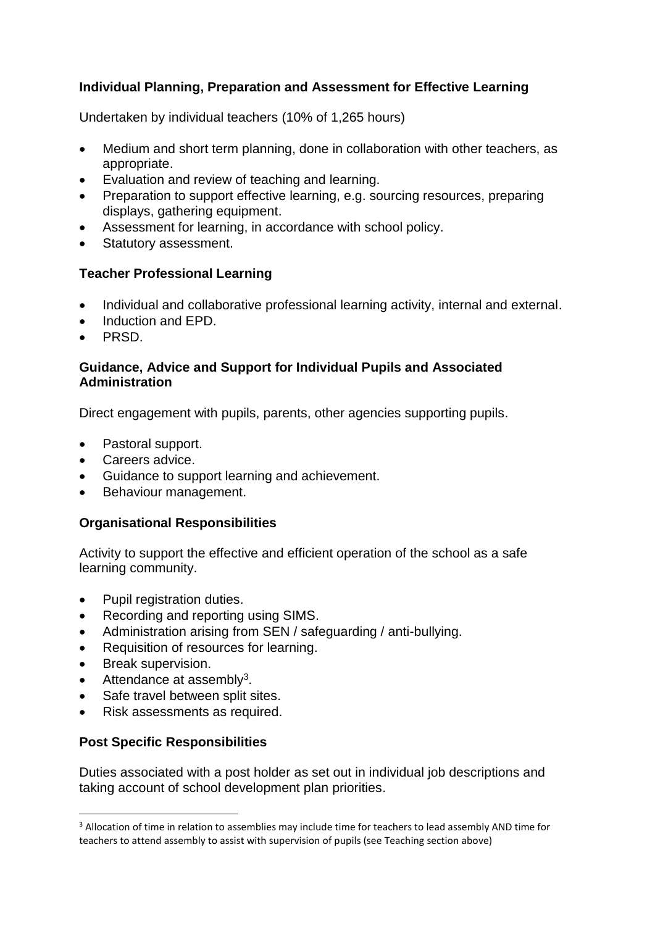## **Individual Planning, Preparation and Assessment for Effective Learning**

Undertaken by individual teachers (10% of 1,265 hours)

- Medium and short term planning, done in collaboration with other teachers, as appropriate.
- Evaluation and review of teaching and learning.
- Preparation to support effective learning, e.g. sourcing resources, preparing displays, gathering equipment.
- Assessment for learning, in accordance with school policy.
- Statutory assessment.

## **Teacher Professional Learning**

- Individual and collaborative professional learning activity, internal and external.
- Induction and EPD.
- PRSD.

### **Guidance, Advice and Support for Individual Pupils and Associated Administration**

Direct engagement with pupils, parents, other agencies supporting pupils.

- Pastoral support.
- Careers advice.
- Guidance to support learning and achievement.
- Behaviour management.

### **Organisational Responsibilities**

Activity to support the effective and efficient operation of the school as a safe learning community.

- Pupil registration duties.
- Recording and reporting using SIMS.
- Administration arising from SEN / safeguarding / anti-bullying.
- Requisition of resources for learning.
- Break supervision.

 $\overline{a}$ 

- $\bullet$  Attendance at assembly<sup>3</sup>.
- Safe travel between split sites.
- Risk assessments as required.

## **Post Specific Responsibilities**

Duties associated with a post holder as set out in individual job descriptions and taking account of school development plan priorities.

<sup>&</sup>lt;sup>3</sup> Allocation of time in relation to assemblies may include time for teachers to lead assembly AND time for teachers to attend assembly to assist with supervision of pupils (see Teaching section above)